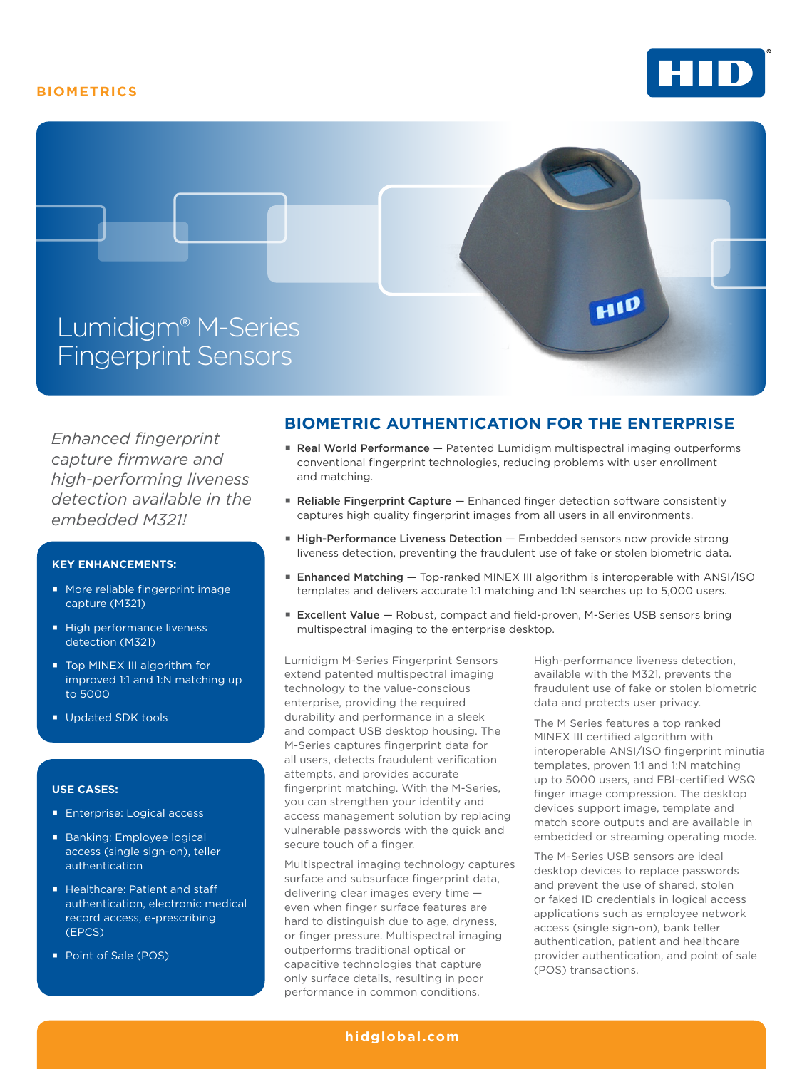## **BIOMETRICS**





*Enhanced fingerprint capture firmware and high-performing liveness detection available in the embedded M321!*

### **KEY ENHANCEMENTS:**

- More reliable fingerprint image capture (M321)
- High performance liveness detection (M321)
- Top MINEX III algorithm for improved 1:1 and 1:N matching up to 5000
- Updated SDK tools

#### **USE CASES:**

- **Enterprise: Logical access**
- Banking: Employee logical access (single sign-on), teller authentication
- Healthcare: Patient and staff authentication, electronic medical record access, e-prescribing (EPCS)
- Point of Sale (POS)

# **BIOMETRIC AUTHENTICATION FOR THE ENTERPRISE**

- **Real World Performance** Patented Lumidigm multispectral imaging outperforms conventional fingerprint technologies, reducing problems with user enrollment and matching.
- **E** Reliable Fingerprint Capture Enhanced finger detection software consistently captures high quality fingerprint images from all users in all environments.
- **E** High-Performance Liveness Detection Embedded sensors now provide strong liveness detection, preventing the fraudulent use of fake or stolen biometric data.
- **Enhanced Matching Top-ranked MINEX III algorithm is interoperable with ANSI/ISO** templates and delivers accurate 1:1 matching and 1:N searches up to 5,000 users.
- **Excellent Value** Robust, compact and field-proven, M-Series USB sensors bring multispectral imaging to the enterprise desktop.

Lumidigm M-Series Fingerprint Sensors extend patented multispectral imaging technology to the value-conscious enterprise, providing the required durability and performance in a sleek and compact USB desktop housing. The M-Series captures fingerprint data for all users, detects fraudulent verification attempts, and provides accurate fingerprint matching. With the M-Series, you can strengthen your identity and access management solution by replacing vulnerable passwords with the quick and secure touch of a finger.

Multispectral imaging technology captures surface and subsurface fingerprint data, delivering clear images every time even when finger surface features are hard to distinguish due to age, dryness, or finger pressure. Multispectral imaging outperforms traditional optical or capacitive technologies that capture only surface details, resulting in poor performance in common conditions.

High-performance liveness detection, available with the M321, prevents the fraudulent use of fake or stolen biometric data and protects user privacy.

The M Series features a top ranked MINEX III certified algorithm with interoperable ANSI/ISO fingerprint minutia templates, proven 1:1 and 1:N matching up to 5000 users, and FBI-certified WSQ finger image compression. The desktop devices support image, template and match score outputs and are available in embedded or streaming operating mode.

The M-Series USB sensors are ideal desktop devices to replace passwords and prevent the use of shared, stolen or faked ID credentials in logical access applications such as employee network access (single sign-on), bank teller authentication, patient and healthcare provider authentication, and point of sale (POS) transactions.